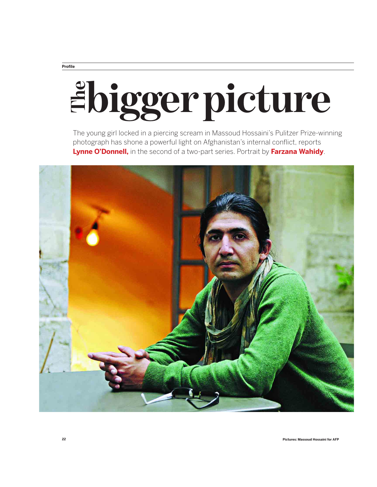## **Profile**

## **biggerpicture Lynne O'Donnell,** in the second of a two-part series. Portrait by **Farzana Wahidy**.

The young girl locked in a piercing scream in Massoud Hossaini's Pulitzer Prize-winning photograph has shone a powerful light on Afghanistan's internal conflict, reports

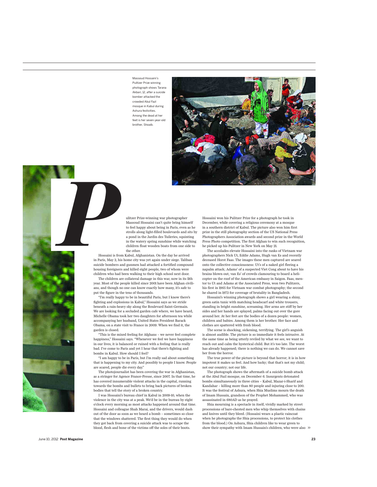Massoud Hossaini's Pulitzer Prize winning photograph shows Tarana Akbari, 12, after a suicide bomber attacked the crowded Abul Fazl mosque in Kabul during Ashura festivities. Among the dead at her feet is her seven-year-old brother, Shoaib.



ulitzer Prize-winning war photographer Massoud Hossaini can't quite bring himself to feel happy about being in Paris, even as he strolls along light-filled boulevards and sits by a pond in the Jardin des Tuileries, squinting in the watery spring sunshine while watching children float wooden boats from one side to the other.

Hossaini is from Kabul, Afghanistan. On the day he arrived in Paris, May 2, his home city was yet again under siege. Taliban suicide bombers and gunmen had attacked a fortified compound housing foreigners and killed eight people, two of whom were children who had been walking to their high school next door. **Prosaini** is frequency in Paris, May 2, li

The children are collateral damage in this war, now in its 11th year. Most of the people killed since 2001 have been Afghan civilians, and though no one can know exactly how many, it's safe to put the figure in the tens of thousands.

"I'm really happy to be in beautiful Paris, but I know there's fighting and explosions in Kabul," Hossaini says as we stride beneath a rain-heavy sky along the Boulevard Saint-Germain. We are looking for a secluded garden cafe where, we have heard, Michelle Obama took her two daughters for afternoon tea while accompanying her husband, United States President Barack Obama, on a state visit to France in 2009. When we find it, the garden is closed.

"This is the mixed feeling for Afghans – we never feel complete happiness," Hossaini says. "Whenever we feel we have happiness in our lives, it is balanced or ruined with a feeling that is really bad. I've come to Paris and yet I hear that there's fighting and bombs in Kabul. How should I feel?

"I am happy to be in Paris, but I'm really sad about something that is happening to my city. And possibly to people I know. People are scared, people die every day."

The photojournalist has been covering the war in Afghanistan, as a stringer for Agence France-Presse, since 2007. In that time, he has covered innumerable violent attacks in the capital, running towards the bombs and bullets to bring back pictures of broken bodies that tell the story of a broken country.

I was Hossaini's bureau chief in Kabul in 2009-10, when the violence in the city was at a peak. We'd be in the bureau by eight o'clock every morning as most attacks happened around that time. Hossaini and colleague Shah Marai, and the drivers, would dash out of the door as soon as we heard a bomb – sometimes so close that the windows shattered. The first thing they would do when they got back from covering a suicide attack was to scrape the blood, flesh and bone of the victims off the soles of their boots.

Hossaini won his Pulitzer Prize for a photograph he took in December, while covering a religious ceremony at a mosque in a southern district of Kabul. The picture also won him first prize in the still photography section of the US National Press Photographers Association awards and second prize in the World Press Photo competition. The first Afghan to win such recognition, he picked up his Pulitzer in New York on May 21.

.<br>The accolades elevate Hossaini into the ranks of Vietnam war photographers Nick Ut, Eddie Adams, Hugh van Es and recently deceased Horst Faas. The images these men captured are seared onto the collective consciousness: Ut's of a naked girl fleeing a napalm attack; Adams' of a suspected Viet Cong about to have his brains blown out; van Es' of crowds clamouring to board a helicopter on the roof of the American embassy in Saigon. Faas, mentor to Ut and Adams at the Associated Press, won two Pulitzers, his first in 1965 for Vietnam war combat photography; the second he shared in 1972 for coverage of brutality in Bangladesh.

Hossaini's winning photograph shows a girl wearing a shiny, green satin tunic with matching headscarf and white trousers, standing in bright sunshine, screaming. Her arms are stiff by her sides and her hands are splayed, palms facing out over the gore around her. At her feet are the bodies of a dozen people: women, children and babies. Among them is her brother. Her face and clothes are spattered with fresh blood.

The scene is shocking, sickening, terrifying. The girl's anguish is almost audible. The picture is so immediate it feels intrusive. At the same time as being utterly reviled by what we see, we want to reach out and calm the hysterical child. But it's too late. The worst has already happened; there is nothing we can do. We cannot save her from the horror.

The true power of the picture is beyond that horror; it is in how impotent it makes us feel. And how lucky; that that's not my child; not our country; not our life.

The photograph shows the aftermath of a suicide bomb attack at the Abul Fazl mosque, on December 6. Insurgents detonated bombs simultaneously in three cities – Kabul, Mazar-i-Sharif and Kandahar – killing more than 80 people and injuring close to 200. It was the festival of Ashura, when Shia Muslims mourn the death of Imam Hussain, grandson of the Prophet Mohammed, who was assassinated in 680AD as he prayed.

Shia mourning is a spectacle in itself, vividly marked by street processions of bare-chested men who whip themselves with chains and knives until they bleed. (Hossaini wears a plastic raincoat when he photographs the Shia processions, to protect his clothes from the blood.) On Ashura, Shia children like to wear green to show their sympathy with Imam Hussain's children, who were also >>

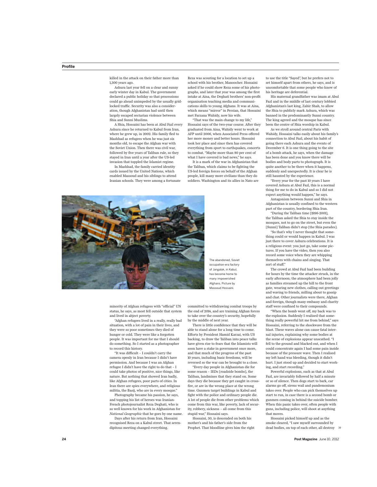killed in the attack on their father more than 1,300 years ago.

Ashura last year fell on a clear and sunny early winter day in Kabul. The government declared a public holiday so that processions could go ahead unimpeded by the usually gridlocked traffic. Security was also a consideration, though Afghanistan had until then largely escaped sectarian violence between Shia and Sunni Muslims.

A Shia, Hossaini has been at Abul Fazl every Ashura since he returned to Kabul from Iran, where he grew up, in 2002. His family fled to Mashhad as refugees when he was just six months old, to escape the Afghan war with the Soviet Union. Then there was civil war, followed by five years of Taliban rule, so they stayed in Iran until a year after the US-led invasion that toppled the Islamist regime.

In Mashhad, the family carried identity cards issued by the United Nations, which enabled Massoud and his siblings to attend Iranian schools. They were among a fortunate

Reza was scouting for a location to set up a school with his brother, Manoocher. Hossaini asked if he could show Reza some of his photographs, and later that year was among the first intake at Aina, the Deghati brothers' non-profit organisation teaching media and communications skills to young Afghans. It was at Aina, which means "mirror" in Persian, that Hossaini met Farzana Wahidy, now his wife.

"That was the main change to my life," Hossaini says of the two-year course. After they graduated from Aina, Wahidy went to work at AFP until 2006, when Associated Press offered her more money and better hours. Hossaini took her place and since then has covered everything from sport to earthquakes, concerts to combat. "Maybe more than 80 per cent of what I have covered is bad news," he says.

It is a mark of the war in Afghanistan that the Taliban, which claims to be fighting the US-led foreign forces on behalf of the Afghan people, kill many more civilians than they do soldiers. Washington and its allies in Nato are

The abandoned, Soviet occupation-era factory of Jangalak, in Kabul, has become home to many impoverished Afghans. Picture by Massoud Hossaini.

to use the title "Sayed", but he prefers not to set himself apart from others, he says, and is uncomfortable that some people who know of his heritage are deferential.

His maternal grandfather was imam at Abul Fazl and in the middle of last century lobbied Afghanistan's last king, Zahir Shah, to allow the Shia to publicly mark Ashura, which was banned in the predominantly Sunni country. The king agreed and the mosque has since been the centre of Shia worship in Kabul.

As we stroll around central Paris with Wahidy, Hossaini talks easily about his family's connection to Abul Fazl, about his habit of going there each Ashura and the events of December 6. It is one thing going to the site of a bomb attack, he says, when the damage has been done and you know there will be bodies and body parts to photograph. It is quite another to be there when it happens, suddenly and unexpectedly. It is clear he is still haunted by the experience.

"Every year for the past 10 years I have covered Ashura at Abul Fazl, this is a normal thing for me to do in Kabul and so I did not expect anything would happen," he says.

Antagonism between Sunni and Shia in Afghanistan is usually confined to the western part of the country, bordering Shia Iran. "During the Taliban time [1996-2001],

the Taliban asked the Shia to stay inside the mosques, not to go on the street, but even the [Sunni] Taliban didn't stop [the Shia parades]. "So that's why I never thought that some-

thing could or would happen in Kabul. I was just there to cover Ashura celebrations. It is a religious event: you just go, take some pictures. If you have the video, then you also record some voice when they are whipping themselves with chains and singing. That sort of stuff."

The crowd at Abul Fazl had been building for hours by the time the attacker struck, in the early afternoon; the atmosphere had been jolly as families streamed up the hill to the front gate, wearing new clothes, calling out greetings and waving to friends, milling about to gossip and chat. Other journalists were there, Afghan and foreign, though many embassy and charity staff were confined to their compounds.

"When the bomb went off, my back was to the explosion. Suddenly I realised that something really powerful hit me from behind," says Hossaini, referring to the shockwave from the blast. These waves alone can cause fatal internal injuries, explaining why some bodies at the scene of explosions appear unscathed. "I fell to the ground and blacked out, and when I could concentrate again I had some pain inside because of the pressure wave. Then I realised my left hand was bleeding, though it didn't hurt. I just stood up and decided to start working, and start recording."

Powerful explosions, such as that at Abul Fazl, are invariably followed by half a minute or so of silence. Then dogs start to bark, car alarms go off, sirens wail and pandemonium takes over. People who can pick themselves up start to run, in case there is a second bomb or gunmen coming in behind the suicide bomber. When this panic takes over, often people with guns, including police, will shoot at anything that moves.

Hossaini picked himself up and as the smoke cleared, "I saw myself surrounded by dead bodies, on top of each other, all destroy >>

**24 Post Magazine** June 10, 2012



and lived in abject poverty. "Afghan refugees lived in a really, really bad situation, with a lot of pain in their lives, and they were so poor sometimes they died of hunger or cold. They were like a forgotten people. It was important for me that I should do something. So I started as a photographer to record this history.

"It was difficult – I couldn't carry the camera openly in Iran because I didn't have permission. And because I was an Afghan refugee I didn't have the right to do that – I could take photos of positive, nice things, like nature. But nothing that showed Iran badly, like Afghan refugees, poor parts of cities. In Iran there are spies everywhere, and religious militia, the Basij, who are in every mosque."

Photography became his passion, he says, and topping his list of heroes was Iranian-French photojournalist Reza Deghati, who is so well known for his work in Afghanistan for *National Geographic* that he goes by one name.

Days after his return from Iran, Hossaini recognised Reza on a Kabul street. That serendipitous meeting changed everything.

committed to withdrawing combat troops by the end of 2014, and are training Afghan forces to take over the country's security, hopefully by the middle of next year.

There is little confidence that they will be able to stand alone for a long time to come. Efforts by President Hamid Karzai, with US backing, to draw the Taliban into peace talks have given rise to fears that the Islamists will soon have a stake in government once more, and that much of the progress of the past 10 years, including basic freedoms, will be reversed so the war can be brought to a close.

"Every day people in Afghanistan die for some reason – IEDs [roadside bombs], the Taliban, landmines that they stand on. Some days they die because they get caught in crossfire, or are in the wrong place at the wrong time. Gunmen target buildings in Kabul and fight with the police and ordinary people die. A lot of people die from other problems which come from this war, like poverty, lack of security, robbery, sickness – all come from this stupid war," Hossaini says.

Hossaini, 30, is descended on both his mother's and his father's side from the Prophet. That bloodline gives him the right